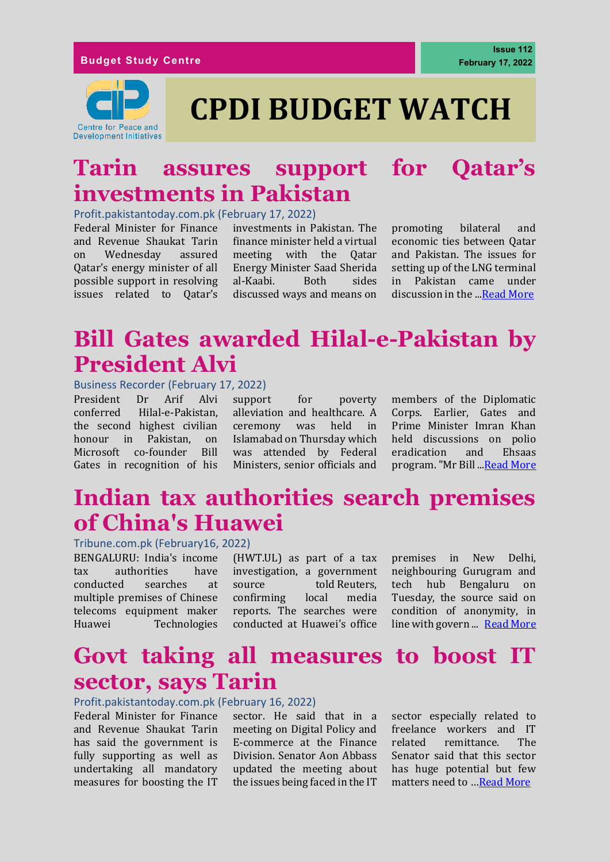

# **CPDI BUDGET WATCH**

# **Tarin assures support for Qatar's investments in Pakistan**

Profit.pakistantoday.com.pk (February 17, 2022)

Federal Minister for Finance and Revenue Shaukat Tarin on Wednesday assured Qatar's energy minister of all possible support in resolving issues related to Qatar's

investments in Pakistan. The finance minister held a virtual meeting with the Qatar Energy Minister Saad Sherida al-Kaabi. Both sides discussed ways and means on

promoting bilateral and economic ties between Qatar and Pakistan. The issues for setting up of the LNG terminal in Pakistan came under discussion in the .[..Read More](https://profit.pakistantoday.com.pk/2022/02/17/tarin-assures-support-for-qatars-investments-in-pakistan/)

# **Bill Gates awarded Hilal-e-Pakistan by President Alvi**

Business Recorder (February 17, 2022)

President Dr Arif Alvi conferred Hilal-e-Pakistan, the second highest civilian honour in Pakistan, on Microsoft co-founder Bill Gates in recognition of his

support for poverty alleviation and healthcare. A ceremony was held in Islamabad on Thursday which was attended by Federal Ministers, senior officials and

members of the Diplomatic Corps. Earlier, Gates and Prime Minister Imran Khan held discussions on polio eradication and Ehsaas program. "Mr Bill ... Read More

# **Indian tax authorities search premises of China's Huawei**

Tribune.com.pk (February16, 2022)

BENGALURU: India's income tax authorities have conducted searches at multiple premises of Chinese telecoms equipment maker Huawei Technologies

(HWT.UL) as part of a tax investigation, a government source told Reuters, confirming local media reports. The searches were conducted at Huawei's office

premises in New Delhi, neighbouring Gurugram and tech hub Bengaluru on Tuesday, the source said on condition of anonymity, in line with govern ... [Read More](https://tribune.com.pk/story/2343819/indian-tax-authorities-search-premises-of-chinas-huawei)

### **Govt taking all measures to boost IT sector, says Tarin**

#### Profit.pakistantoday.com.pk (February 16, 2022)

Federal Minister for Finance and Revenue Shaukat Tarin has said the government is fully supporting as well as undertaking all mandatory measures for boosting the IT

sector. He said that in a meeting on Digital Policy and E-commerce at the Finance Division. Senator Aon Abbass updated the meeting about the issues being faced in the IT

sector especially related to freelance workers and IT related remittance. The Senator said that this sector has huge potential but few matters need to …[Read More](https://profit.pakistantoday.com.pk/2022/02/16/govt-taking-all-measures-to-boost-it-sector-says-tarin/)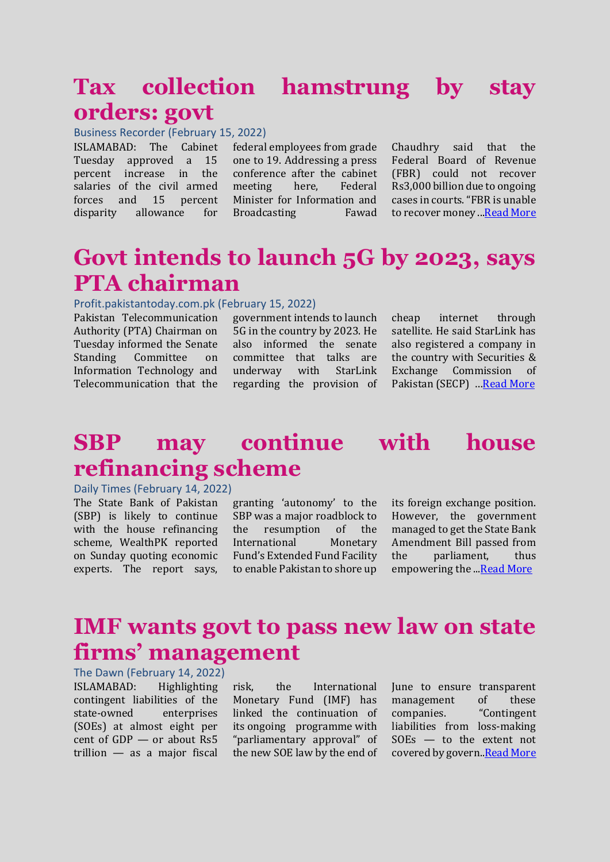# **Tax collection hamstrung by stay orders: govt**

#### Business Recorder (February 15, 2022)

ISLAMABAD: The Cabinet Tuesday approved a 15 percent increase in the salaries of the civil armed forces and 15 percent disparity allowance for

federal employees from grade one to 19. Addressing a press conference after the cabinet meeting here, Federal Minister for Information and Broadcasting Fawad

Chaudhry said that the Federal Board of Revenue (FBR) could not recover Rs3,000 billion due to ongoing cases in courts. "FBR is unable to recover money ..[.Read More](https://www.brecorder.com/news/40154802)

### **Govt intends to launch 5G by 2023, says PTA chairman**

#### Profit.pakistantoday.com.pk (February 15, 2022)

Pakistan Telecommunication Authority (PTA) Chairman on Tuesday informed the Senate Standing Committee on Information Technology and Telecommunication that the

government intends to launch 5G in the country by 2023. He also informed the senate committee that talks are underway with StarLink regarding the provision of cheap internet through satellite. He said StarLink has also registered a company in the country with Securities & Exchange Commission of Pakistan (SECP) …[Read More](https://profit.pakistantoday.com.pk/2022/02/15/govt-intends-to-launch-5g-by-2023-says-pta-chairman/)

# **SBP may continue with house refinancing scheme**

#### Daily Times (February 14, 2022)

The State Bank of Pakistan (SBP) is likely to continue with the house refinancing scheme, WealthPK reported on Sunday quoting economic experts. The report says, granting 'autonomy' to the SBP was a major roadblock to the resumption of the International Monetary Fund's Extended Fund Facility to enable Pakistan to shore up its foreign exchange position. However, the government managed to get the State Bank Amendment Bill passed from the parliament, thus empowering the ..[.Read More](https://dailytimes.com.pk/885204/sbp-may-continue-with-house-refinancing-scheme/)

### **IMF wants govt to pass new law on state firms' management**

The Dawn (February 14, 2022)

ISLAMABAD: Highlighting contingent liabilities of the state-owned enterprises (SOEs) at almost eight per cent of GDP — or about Rs5 trillion — as a major fiscal risk, the International Monetary Fund (IMF) has linked the continuation of its [ongoing programme](https://www.dawn.com/news/1673007/imf-okays-6th-review-ready-to-release-1bn-tranche) with "parliamentary approval" of the new SOE law by the end of June to ensure transparent management of these companies. "Contingent liabilities from loss-making SOEs — to the extent not covered by govern.[.Read More](https://www.dawn.com/news/1674955)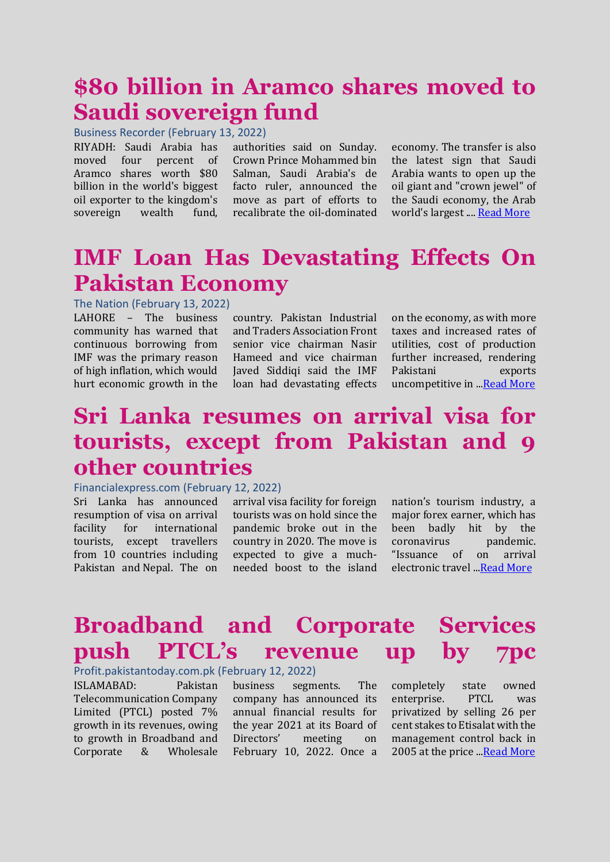# **\$80 billion in Aramco shares moved to Saudi sovereign fund**

Business Recorder (February 13, 2022)

RIYADH: Saudi Arabia has moved four percent of Aramco shares worth \$80 billion in the world's biggest oil exporter to the kingdom's sovereign wealth fund,

authorities said on Sunday. Crown Prince Mohammed bin Salman, Saudi Arabia's de facto ruler, announced the move as part of efforts to recalibrate the oil-dominated

economy. The transfer is also the latest sign that Saudi Arabia wants to open up the oil giant and "crown jewel" of the Saudi economy, the Arab world's largest .... [Read More](https://www.brecorder.com/news/40154103/saudi-oil-giant-aramco-transfers-4-of-shares-to-sovereign-fund)

### **IMF Loan Has Devastating Effects On Pakistan Economy**

The Nation (February 13, 2022)

LAHORE – The business community has warned that continuous borrowing from IMF was the primary reason of high inflation, which would hurt economic growth in the

country. Pakistan Industrial and Traders Association Front senior vice chairman Nasir Hameed and vice chairman Javed Siddiqi said the IMF loan had devastating effects on the economy, as with more taxes and increased rates of utilities, cost of production further increased, rendering Pakistani exports uncompetitive in ... Read More

### **Sri Lanka resumes on arrival visa for tourists, except from Pakistan and 9 other countries**

#### Financialexpress.com (February 12, 2022)

Sri Lanka has announced resumption of visa on arrival facility for international tourists, except travellers from 10 countries including Pakistan and [Nepal.](https://www.financialexpress.com/about/nepal/) The on arrival visa facility for foreign tourists was on hold since the pandemic broke out in the country in 2020. The move is expected to give a muchneeded boost to the island nation's tourism industry, a major forex earner, which has been badly hit by the coronavirus pandemic. "Issuance of on arrival electronic travel .[..Read More](https://www.financialexpress.com/passport-visa/sri-lanka-resumes-on-arrival-visa-for-tourists-except-from-pakistan-and-9-other-countries/2432393/)

### **Broadband and Corporate Services push PTCL's revenue up by 7pc**

Profit.pakistantoday.com.pk (February 12, 2022)

ISLAMABAD: Pakistan Telecommunication Company Limited (PTCL) posted 7% growth in its revenues, owing to growth in Broadband and Corporate & Wholesale

business segments. The company has announced its annual financial results for the year 2021 at its Board of Directors' meeting on February 10, 2022. Once a completely state owned enterprise. PTCL was privatized by selling 26 per cent stakes to Etisalat with the management control back in 2005 at the price ... Read More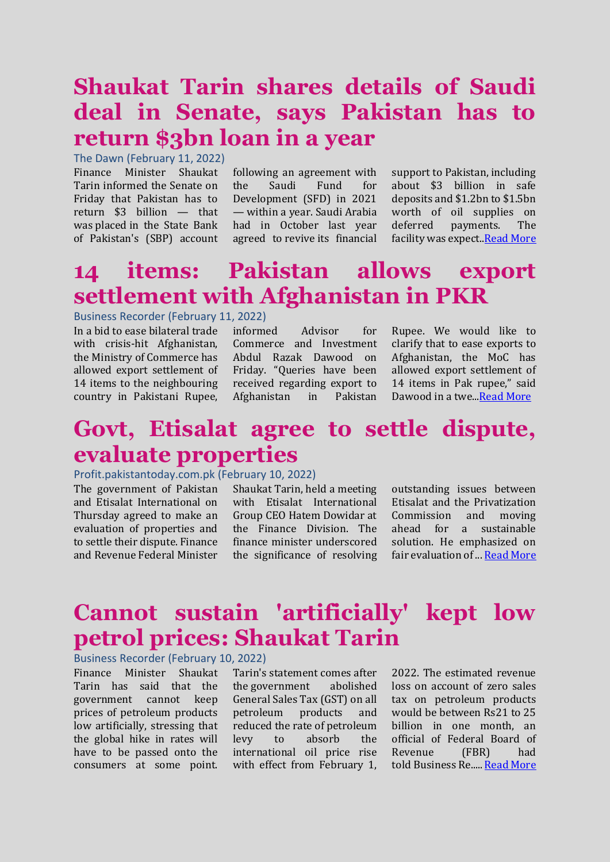# **Shaukat Tarin shares details of Saudi deal in Senate, says Pakistan has to return \$3bn loan in a year**

The Dawn (February 11, 2022)

Finance Minister Shaukat Tarin informed the Senate on Friday that Pakistan has to return \$3 billion — that was [placed](https://www.dawn.com/news/1654273) in the State Bank of Pakistan's (SBP) account

following an agreement with the Saudi Fund for Development (SFD) in 2021 — within a year. Saudi Arabia had in October last year agreed to [revive](https://www.dawn.com/news/1654273) its financial support to Pakistan, including about \$3 billion in safe deposits and \$1.2bn to \$1.5bn worth of oil supplies on deferred payments. The facility was expect.[.Read More](https://www.dawn.com/news/1674509)

# **14 items: Pakistan allows export settlement with Afghanistan in PKR**

Business Recorder (February 11, 2022)

In a bid to ease bilateral trade with crisis-hit Afghanistan, the Ministry of Commerce has allowed export settlement of 14 items to the neighbouring country in Pakistani Rupee, informed Advisor for Commerce and Investment Abdul Razak Dawood on Friday. "Queries have been received regarding export to Afghanistan in Pakistan Rupee. We would like to clarify that to ease exports to Afghanistan, the MoC has allowed export settlement of 14 items in Pak rupee," said Dawood in a twe..[.Read More](https://www.brecorder.com/news/40153778)

### **Govt, Etisalat agree to settle dispute, evaluate properties**

#### Profit.pakistantoday.com.pk (February 10, 2022)

The government of Pakistan and Etisalat International on Thursday agreed to make an evaluation of properties and to settle their dispute. Finance and Revenue Federal Minister

Shaukat Tarin, held a meeting with Etisalat International Group CEO Hatem Dowidar at the Finance Division. The finance minister underscored the significance of resolving outstanding issues between Etisalat and the Privatization Commission and moving ahead for a sustainable solution. He emphasized on fair evaluation of ... [Read More](https://profit.pakistantoday.com.pk/2022/02/10/govt-etisalat-agree-to-settle-dispute-evaluate-properties/)

# **Cannot sustain 'artificially' kept low petrol prices: Shaukat Tarin**

Business Recorder (February 10, 2022)

Finance Minister Shaukat Tarin has said that the government cannot keep prices of petroleum products low artificially, stressing that the global hike in rates will have to be passed onto the consumers at some point.

Tarin's statement comes after the [government abolished](https://www.brecorder.com/news/40151542/pol-products-gst-abolished-pl-revised-downward)  [General Sales Tax](https://www.brecorder.com/news/40151542/pol-products-gst-abolished-pl-revised-downward) (GST) on all petroleum products and reduced the rate of petroleum levy to absorb the international oil price rise with effect from February 1, 2022. The estimated revenue loss on account of zero sales tax on petroleum products would be between Rs21 to 25 billion in one month, an official of Federal Board of Revenue (FBR) had told Business Re....[. Read More](https://www.brecorder.com/news/40153467/cannot-sustain-artificially-kept-low-petrol-prices-shaukat-tarin)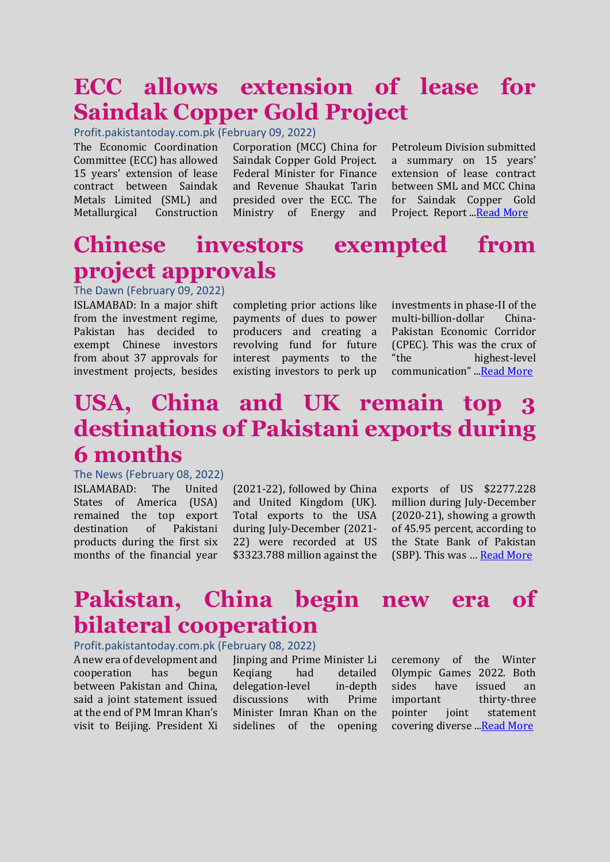# **ECC allows extension of lease for Saindak Copper Gold Project**

Profit.pakistantoday.com.pk (February 09, 2022)

The Economic Coordination Committee (ECC) has allowed 15 years' extension of lease contract between Saindak Metals Limited (SML) and Metallurgical Construction

Corporation (MCC) China for Saindak Copper Gold Project. Federal Minister for Finance and Revenue Shaukat Tarin presided over the ECC. The Ministry of Energy and

Petroleum Division submitted a summary on 15 years' extension of lease contract between SML and MCC China for Saindak Copper Gold Project. Report ... Read More

# **Chinese investors exempted from project approvals**

#### The Dawn (February 09, 2022)

ISLAMABAD: In a major shift from the investment regime, Pakistan has decided to exempt Chinese investors from about 37 approvals for investment projects, besides

completing prior actions like payments of dues to power producers and creating a revolving fund for future interest payments to the existing investors to perk up

investments in phase-II of the multi-billion-dollar China-Pakistan Economic Corridor (CPEC). This was the crux of "the highest-level communication" .[..Read More](https://www.dawn.com/news/1673852)

### **USA, China and UK remain top 3 destinations of Pakistani exports during 6 months**

The News (February 08, 2022)

ISLAMABAD: The United States of America (USA) remained the top export destination of Pakistani products during the first six months of the financial year

(2021-22), followed by China and United Kingdom (UK). Total exports to the USA during July-December (2021- 22) were recorded at US \$3323.788 million against the exports of US \$2277.228 million during July-December (2020-21), showing a growth of 45.95 percent, according to the State Bank of Pakistan (SBP). This was … [Read More](https://dailytimes.com.pk/882353/usa-china-and-uk-remain-top-3-destinations-of-pakistani-exports-during-6-months/)

# **Pakistan, China begin new era of bilateral cooperation**

#### Profit.pakistantoday.com.pk (February 08, 2022)

A new era of development and cooperation has begun between Pakistan and China, said a joint statement issued at the end of PM Imran Khan's visit to Beijing. President Xi Jinping and Prime Minister Li Keqiang had detailed delegation-level in-depth discussions with Prime Minister Imran Khan on the sidelines of the opening

ceremony of the Winter Olympic Games 2022. Both sides have issued an important thirty-three pointer joint statement covering diverse ..[.Read More](https://profit.pakistantoday.com.pk/2022/02/08/pakistan-china-begin-new-era-of-bilateral-cooperation/)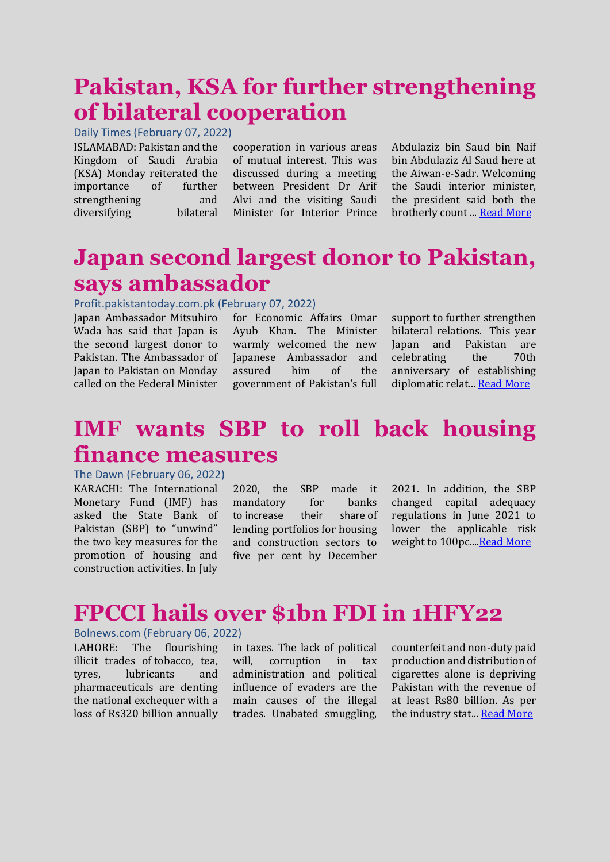# **Pakistan, KSA for further strengthening of bilateral cooperation**

Daily Times (February 07, 2022)

ISLAMABAD: Pakistan and the Kingdom of Saudi Arabia (KSA) Monday reiterated the importance of further strengthening and diversifying bilateral

cooperation in various areas of mutual interest. This was discussed during a meeting between President Dr Arif Alvi and the visiting Saudi Minister for Interior Prince

Abdulaziz bin Saud bin Naif bin Abdulaziz Al Saud here at the Aiwan-e-Sadr. Welcoming the Saudi interior minister, the president said both the brotherly count ... [Read More](https://dailytimes.com.pk/881823/pakistan-ksa-for-further-strengthening-of-bilateral-cooperation/)

### **Japan second largest donor to Pakistan, says ambassador**

#### Profit.pakistantoday.com.pk (February 07, 2022)

Japan Ambassador Mitsuhiro Wada has said that Japan is the second largest donor to Pakistan. The Ambassador of Japan to Pakistan on Monday called on the Federal Minister for Economic Affairs Omar Ayub Khan. The Minister warmly welcomed the new Japanese Ambassador and assured him of the government of Pakistan's full

support to further strengthen bilateral relations. This year Japan and Pakistan are celebrating the 70th anniversary of establishing diplomatic relat... [Read More](https://profit.pakistantoday.com.pk/2022/02/07/japan-second-largest-donor-to-pakistan-says-ambassador/)

### **IMF wants SBP to roll back housing finance measures**

#### The Dawn (February 06, 2022)

KARACHI: The International Monetary Fund (IMF) has asked the State Bank of Pakistan (SBP) to "unwind" the two key measures for the promotion of housing and construction activities. In July

2020, the SBP made it mandatory for banks to [increase their share](https://www.dawn.com/news/1569282) of lending portfolios for housing and construction sectors to five per cent by December

2021. In addition, the SBP changed capital adequacy regulations in June 2021 to lower the applicable risk weight to 100pc.... Read More

### **FPCCI hails over \$1bn FDI in 1HFY22**

#### Bolnews.com (February 06, 2022)

LAHORE: The flourishing illicit trades of [tobacco,](https://en.wikipedia.org/wiki/Tobacco) tea, tyres, lubricants and pharmaceuticals are denting the national exchequer with a loss of Rs320 billion annually

in taxes. The lack of political will, corruption in tax administration and political influence of evaders are the main causes of the illegal trades. Unabated smuggling,

counterfeit and non-duty paid production and distribution of cigarettes alone is depriving Pakistan with the revenue of at least Rs80 billion. As per the industry stat... [Read More](https://www.bolnews.com/business/2022/02/illicit-trades-causing-rs320-billion-annual-loss/)